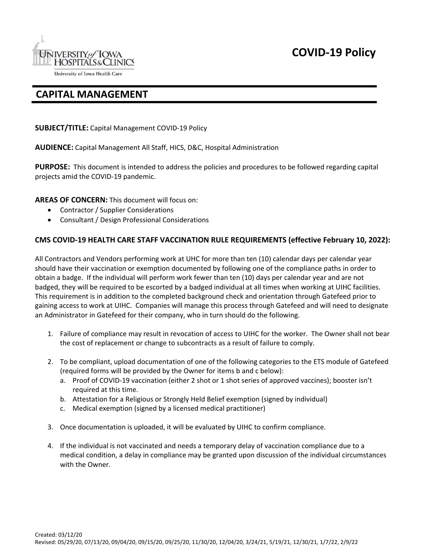

# **CAPITAL MANAGEMENT**

**SUBJECT/TITLE:** Capital Management COVID‐19 Policy

**AUDIENCE:** Capital Management All Staff, HICS, D&C, Hospital Administration

**PURPOSE:** This document is intended to address the policies and procedures to be followed regarding capital projects amid the COVID‐19 pandemic.

**AREAS OF CONCERN:** This document will focus on:

- Contractor / Supplier Considerations
- Consultant / Design Professional Considerations

## **CMS COVID‐19 HEALTH CARE STAFF VACCINATION RULE REQUIREMENTS (effective February 10, 2022):**

All Contractors and Vendors performing work at UHC for more than ten (10) calendar days per calendar year should have their vaccination or exemption documented by following one of the compliance paths in order to obtain a badge. If the individual will perform work fewer than ten (10) days per calendar year and are not badged, they will be required to be escorted by a badged individual at all times when working at UIHC facilities. This requirement is in addition to the completed background check and orientation through Gatefeed prior to gaining access to work at UIHC. Companies will manage this process through Gatefeed and will need to designate an Administrator in Gatefeed for their company, who in turn should do the following.

- 1. Failure of compliance may result in revocation of access to UIHC for the worker. The Owner shall not bear the cost of replacement or change to subcontracts as a result of failure to comply.
- 2. To be compliant, upload documentation of one of the following categories to the ETS module of Gatefeed (required forms will be provided by the Owner for items b and c below):
	- a. Proof of COVID‐19 vaccination (either 2 shot or 1 shot series of approved vaccines); booster isn't required at this time.
	- b. Attestation for a Religious or Strongly Held Belief exemption (signed by individual)
	- c. Medical exemption (signed by a licensed medical practitioner)
- 3. Once documentation is uploaded, it will be evaluated by UIHC to confirm compliance.
- 4. If the individual is not vaccinated and needs a temporary delay of vaccination compliance due to a medical condition, a delay in compliance may be granted upon discussion of the individual circumstances with the Owner.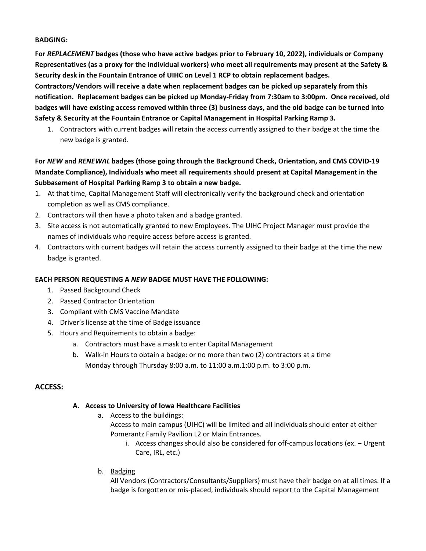#### **BADGING:**

**For** *REPLACEMENT* **badges (those who have active badges prior to February 10, 2022), individuals or Company** Representatives (as a proxy for the individual workers) who meet all requirements may present at the Safety & **Security desk in the Fountain Entrance of UIHC on Level 1 RCP to obtain replacement badges. Contractors/Vendors will receive a date when replacement badges can be picked up separately from this**

notification. Replacement badges can be picked up Monday-Friday from 7:30am to 3:00pm. Once received, old badges will have existing access removed within three (3) business days, and the old badge can be turned into **Safety & Security at the Fountain Entrance or Capital Management in Hospital Parking Ramp 3.**

1. Contractors with current badges will retain the access currently assigned to their badge at the time the new badge is granted.

# **For** *NEW* **and** *RENEWAL* **badges (those going through the Background Check, Orientation, and CMS COVID‐19 Mandate Compliance), Individuals who meet all requirements should present at Capital Management in the Subbasement of Hospital Parking Ramp 3 to obtain a new badge.**

- 1. At that time, Capital Management Staff will electronically verify the background check and orientation completion as well as CMS compliance.
- 2. Contractors will then have a photo taken and a badge granted.
- 3. Site access is not automatically granted to new Employees. The UIHC Project Manager must provide the names of individuals who require access before access is granted.
- 4. Contractors with current badges will retain the access currently assigned to their badge at the time the new badge is granted.

#### **EACH PERSON REQUESTING A** *NEW* **BADGE MUST HAVE THE FOLLOWING:**

- 1. Passed Background Check
- 2. Passed Contractor Orientation
- 3. Compliant with CMS Vaccine Mandate
- 4. Driver's license at the time of Badge issuance
- 5. Hours and Requirements to obtain a badge:
	- a. Contractors must have a mask to enter Capital Management
	- b. Walk‐in Hours to obtain a badge: or no more than two (2) contractors at a time Monday through Thursday 8:00 a.m. to 11:00 a.m.1:00 p.m. to 3:00 p.m.

#### **ACCESS:**

#### **A. Access to University of Iowa Healthcare Facilities**

- a. Access to the buildings:
	- Access to main campus (UIHC) will be limited and all individuals should enter at either Pomerantz Family Pavilion L2 or Main Entrances.
		- i. Access changes should also be considered for off‐campus locations (ex. Urgent Care, IRL, etc.)
- b. Badging

All Vendors (Contractors/Consultants/Suppliers) must have their badge on at all times. If a badge is forgotten or mis‐placed, individuals should report to the Capital Management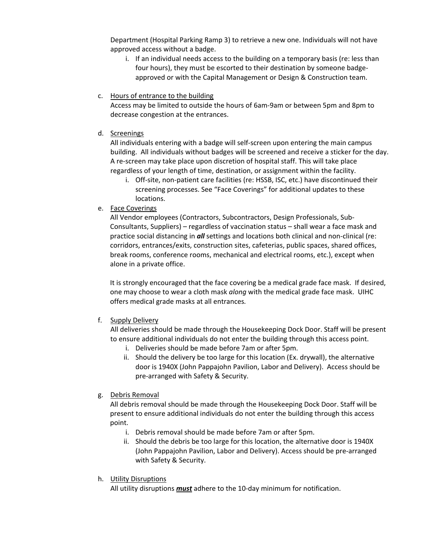Department (Hospital Parking Ramp 3) to retrieve a new one. Individuals will not have approved access without a badge.

- i. If an individual needs access to the building on a temporary basis (re: less than four hours), they must be escorted to their destination by someone badge‐ approved or with the Capital Management or Design & Construction team.
- c. Hours of entrance to the building

Access may be limited to outside the hours of 6am‐9am or between 5pm and 8pm to decrease congestion at the entrances.

d. Screenings

All individuals entering with a badge will self‐screen upon entering the main campus building. All individuals without badges will be screened and receive a sticker for the day. A re‐screen may take place upon discretion of hospital staff. This will take place regardless of your length of time, destination, or assignment within the facility.

- i. Off-site, non-patient care facilities (re: HSSB, ISC, etc.) have discontinued their screening processes. See "Face Coverings" for additional updates to these locations.
- e. Face Coverings

All Vendor employees (Contractors, Subcontractors, Design Professionals, Sub‐ Consultants, Suppliers) – regardless of vaccination status – shall wear a face mask and practice social distancing in *all* settings and locations both clinical and non‐clinical (re: corridors, entrances/exits, construction sites, cafeterias, public spaces, shared offices, break rooms, conference rooms, mechanical and electrical rooms, etc.), except when alone in a private office.

It is strongly encouraged that the face covering be a medical grade face mask. If desired, one may choose to wear a cloth mask *along* with the medical grade face mask. UIHC offers medical grade masks at all entrances*.* 

#### f. Supply Delivery

All deliveries should be made through the Housekeeping Dock Door. Staff will be present to ensure additional individuals do not enter the building through this access point.

- i. Deliveries should be made before 7am or after 5pm.
- ii. Should the delivery be too large for this location (Ex. drywall), the alternative door is 1940X (John Pappajohn Pavilion, Labor and Delivery). Access should be pre‐arranged with Safety & Security.
- g. Debris Removal

All debris removal should be made through the Housekeeping Dock Door. Staff will be present to ensure additional individuals do not enter the building through this access point.

- i. Debris removal should be made before 7am or after 5pm.
- ii. Should the debris be too large for this location, the alternative door is 1940X (John Pappajohn Pavilion, Labor and Delivery). Access should be pre‐arranged with Safety & Security.
- h. Utility Disruptions

All utility disruptions *must* adhere to the 10‐day minimum for notification.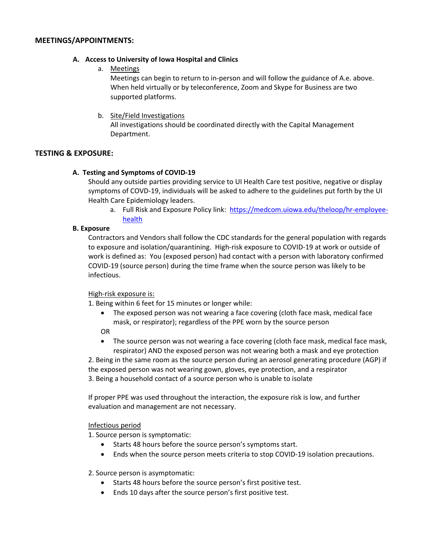#### **MEETINGS/APPOINTMENTS:**

#### **A. Access to University of Iowa Hospital and Clinics**

a. Meetings

Meetings can begin to return to in‐person and will follow the guidance of A.e. above. When held virtually or by teleconference, Zoom and Skype for Business are two supported platforms.

b. Site/Field Investigations

All investigations should be coordinated directly with the Capital Management Department.

#### **TESTING & EXPOSURE:**

#### **A. Testing and Symptoms of COVID‐19**

Should any outside parties providing service to UI Health Care test positive, negative or display symptoms of COVD-19, individuals will be asked to adhere to the guidelines put forth by the UI Health Care Epidemiology leaders.

a. Full Risk and Exposure Policy link: https://medcom.uiowa.edu/theloop/hr-employeehealth

#### **B. Exposure**

Contractors and Vendors shall follow the CDC standards for the general population with regards to exposure and isolation/quarantining. High‐risk exposure to COVID‐19 at work or outside of work is defined as: You (exposed person) had contact with a person with laboratory confirmed COVID‐19 (source person) during the time frame when the source person was likely to be infectious.

#### High‐risk exposure is:

1. Being within 6 feet for 15 minutes or longer while:

- The exposed person was not wearing a face covering (cloth face mask, medical face mask, or respirator); regardless of the PPE worn by the source person
- OR
- The source person was not wearing a face covering (cloth face mask, medical face mask, respirator) AND the exposed person was not wearing both a mask and eye protection

2. Being in the same room as the source person during an aerosol generating procedure (AGP) if the exposed person was not wearing gown, gloves, eye protection, and a respirator 3. Being a household contact of a source person who is unable to isolate

If proper PPE was used throughout the interaction, the exposure risk is low, and further evaluation and management are not necessary.

#### Infectious period

1. Source person is symptomatic:

- Starts 48 hours before the source person's symptoms start.
- Ends when the source person meets criteria to stop COVID‐19 isolation precautions.

#### 2. Source person is asymptomatic:

- Starts 48 hours before the source person's first positive test.
- Ends 10 days after the source person's first positive test.